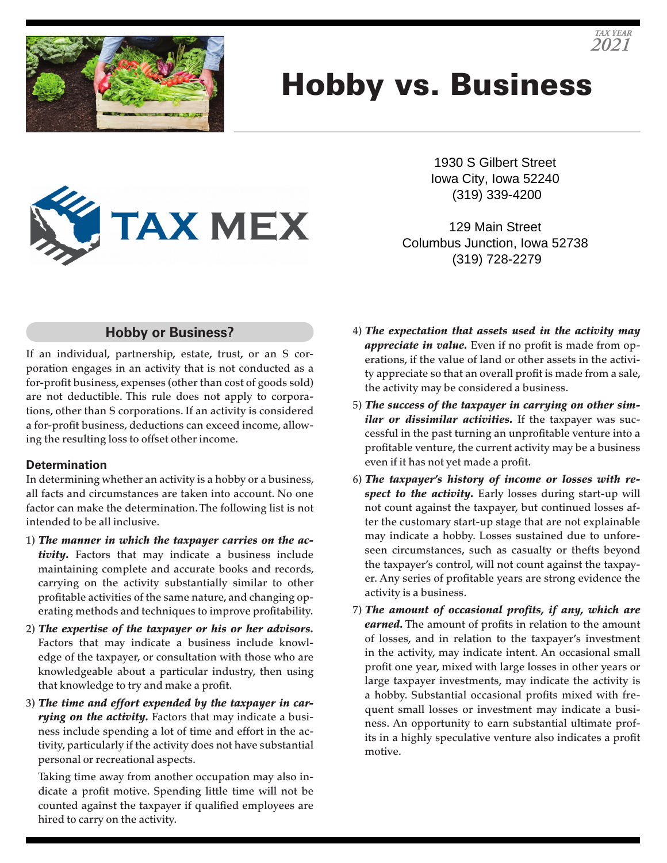

# Hobby vs. Business



1930 S Gilbert Street Iowa City, Iowa 52240 (319) 339-4200

129 Main Street Columbus Junction, Iowa 52738 (319) 728-2279

### **Hobby or Business?**

If an individual, partnership, estate, trust, or an S corporation engages in an activity that is not conducted as a for-profit business, expenses (other than cost of goods sold) are not deductible. This rule does not apply to corporations, other than S corporations. If an activity is considered a for-profit business, deductions can exceed income, allowing the resulting loss to offset other income.

#### **Determination**

In determining whether an activity is a hobby or a business, all facts and circumstances are taken into account. No one factor can make the determination. The following list is not intended to be all inclusive.

- 1) *The manner in which the taxpayer carries on the activity.* Factors that may indicate a business include maintaining complete and accurate books and records, carrying on the activity substantially similar to other profitable activities of the same nature, and changing operating methods and techniques to improve profitability.
- 2) *The expertise of the taxpayer or his or her advisors.* Factors that may indicate a business include knowledge of the taxpayer, or consultation with those who are knowledgeable about a particular industry, then using that knowledge to try and make a profit.
- 3) *The time and effort expended by the taxpayer in carrying on the activity.* Factors that may indicate a business include spending a lot of time and effort in the activity, particularly if the activity does not have substantial personal or recreational aspects.

Taking time away from another occupation may also indicate a profit motive. Spending little time will not be counted against the taxpayer if qualified employees are hired to carry on the activity.

- 4) *The expectation that assets used in the activity may appreciate in value.* Even if no profit is made from operations, if the value of land or other assets in the activity appreciate so that an overall profit is made from a sale, the activity may be considered a business.
- 5) *The success of the taxpayer in carrying on other similar or dissimilar activities.* If the taxpayer was successful in the past turning an unprofitable venture into a profitable venture, the current activity may be a business even if it has not yet made a profit.
- 6) *The taxpayer's history of income or losses with respect to the activity.* Early losses during start-up will not count against the taxpayer, but continued losses after the customary start-up stage that are not explainable may indicate a hobby. Losses sustained due to unforeseen circumstances, such as casualty or thefts beyond the taxpayer's control, will not count against the taxpayer. Any series of profitable years are strong evidence the activity is a business.
- 7) *The amount of occasional profits, if any, which are earned.* The amount of profits in relation to the amount of losses, and in relation to the taxpayer's investment in the activity, may indicate intent. An occasional small profit one year, mixed with large losses in other years or large taxpayer investments, may indicate the activity is a hobby. Substantial occasional profits mixed with frequent small losses or investment may indicate a business. An opportunity to earn substantial ultimate profits in a highly speculative venture also indicates a profit motive.